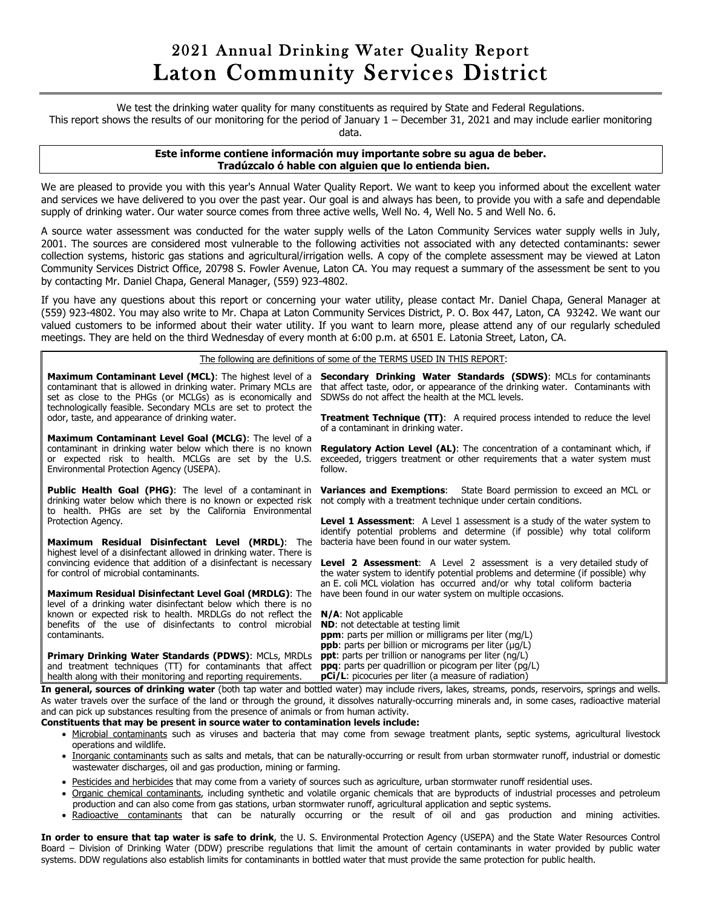## 2021 Annual Drinking Water Quality Report Laton Community Services District

We test the drinking water quality for many constituents as required by State and Federal Regulations.

This report shows the results of our monitoring for the period of January 1 – December 31, 2021 and may include earlier monitoring

data.

## **Este informe contiene información muy importante sobre su agua de beber. Tradúzcalo ó hable con alguien que lo entienda bien.**

We are pleased to provide you with this year's Annual Water Quality Report. We want to keep you informed about the excellent water and services we have delivered to you over the past year. Our goal is and always has been, to provide you with a safe and dependable supply of drinking water. Our water source comes from three active wells, Well No. 4, Well No. 5 and Well No. 6.

A source water assessment was conducted for the water supply wells of the Laton Community Services water supply wells in July, 2001. The sources are considered most vulnerable to the following activities not associated with any detected contaminants: sewer collection systems, historic gas stations and agricultural/irrigation wells. A copy of the complete assessment may be viewed at Laton Community Services District Office, 20798 S. Fowler Avenue, Laton CA. You may request a summary of the assessment be sent to you by contacting Mr. Daniel Chapa, General Manager, (559) 923-4802.

If you have any questions about this report or concerning your water utility, please contact Mr. Daniel Chapa, General Manager at (559) 923-4802. You may also write to Mr. Chapa at Laton Community Services District, P. O. Box 447, Laton, CA 93242. We want our valued customers to be informed about their water utility. If you want to learn more, please attend any of our regularly scheduled meetings. They are held on the third Wednesday of every month at 6:00 p.m. at 6501 E. Latonia Street, Laton, CA.

The following are definitions of some of the TERMS USED IN THIS REPORT:

| Maximum Contaminant Level (MCL): The highest level of a<br>contaminant that is allowed in drinking water. Primary MCLs are<br>set as close to the PHGs (or MCLGs) as is economically and<br>technologically feasible. Secondary MCLs are set to protect the<br>odor, taste, and appearance of drinking water. | Secondary Drinking Water Standards (SDWS): MCLs for contaminants<br>that affect taste, odor, or appearance of the drinking water. Contaminants with<br>SDWSs do not affect the health at the MCL levels.<br><b>Treatment Technique (TT):</b> A required process intended to reduce the level<br>of a contaminant in drinking water.       |
|---------------------------------------------------------------------------------------------------------------------------------------------------------------------------------------------------------------------------------------------------------------------------------------------------------------|-------------------------------------------------------------------------------------------------------------------------------------------------------------------------------------------------------------------------------------------------------------------------------------------------------------------------------------------|
| Maximum Contaminant Level Goal (MCLG): The level of a<br>contaminant in drinking water below which there is no known<br>or expected risk to health. MCLGs are set by the U.S.<br>Environmental Protection Agency (USEPA).                                                                                     | <b>Regulatory Action Level (AL):</b> The concentration of a contaminant which, if<br>exceeded, triggers treatment or other requirements that a water system must<br>follow.                                                                                                                                                               |
| <b>Public Health Goal (PHG):</b> The level of a contaminant in<br>drinking water below which there is no known or expected risk<br>to health. PHGs are set by the California Environmental                                                                                                                    | <b>Variances and Exemptions:</b> State Board permission to exceed an MCL or<br>not comply with a treatment technique under certain conditions.                                                                                                                                                                                            |
| Protection Agency.<br>Maximum Residual Disinfectant Level (MRDL): The<br>highest level of a disinfectant allowed in drinking water. There is                                                                                                                                                                  | <b>Level 1 Assessment:</b> A Level 1 assessment is a study of the water system to<br>identify potential problems and determine (if possible) why total coliform<br>bacteria have been found in our water system.                                                                                                                          |
| convincing evidence that addition of a disinfectant is necessary<br>for control of microbial contaminants.                                                                                                                                                                                                    | <b>Level 2 Assessment:</b> A Level 2 assessment is a very detailed study of<br>the water system to identify potential problems and determine (if possible) why<br>an E. coli MCL violation has occurred and/or why total coliform bacteria                                                                                                |
| Maximum Residual Disinfectant Level Goal (MRDLG): The<br>level of a drinking water disinfectant below which there is no<br>known or expected risk to health. MRDLGs do not reflect the<br>benefits of the use of disinfectants to control microbial<br>contaminants.                                          | have been found in our water system on multiple occasions.<br>$N/A$ : Not applicable<br><b>ND:</b> not detectable at testing limit<br><b>ppm</b> : parts per million or milligrams per liter (mg/L)<br><b>ppb</b> : parts per billion or micrograms per liter (µg/L)                                                                      |
| <b>Primary Drinking Water Standards (PDWS): MCLs, MRDLs</b><br>and treatment techniques (TT) for contaminants that affect<br>health along with their monitoring and reporting requirements.                                                                                                                   | <b>ppt</b> : parts per trillion or nanograms per liter (ng/L)<br><b>ppq</b> : parts per quadrillion or picogram per liter (pg/L)<br><b>pCi/L</b> : picocuries per liter (a measure of radiation)<br>a process crisis of datables compas Arab particular and bapted compas are to their compassions of a compassion contract and collected |

**In general, sources of drinking water** (both tap water and bottled water) may include rivers, lakes, streams, ponds, reservoirs, springs and wells. As water travels over the surface of the land or through the ground, it dissolves naturally-occurring minerals and, in some cases, radioactive material and can pick up substances resulting from the presence of animals or from human activity.

## **Constituents that may be present in source water to contamination levels include:**

- Microbial contaminants such as viruses and bacteria that may come from sewage treatment plants, septic systems, agricultural livestock operations and wildlife.
- Inorganic contaminants such as salts and metals, that can be naturally-occurring or result from urban stormwater runoff, industrial or domestic wastewater discharges, oil and gas production, mining or farming.
- Pesticides and herbicides that may come from a variety of sources such as agriculture, urban stormwater runoff residential uses.
- Organic chemical contaminants, including synthetic and volatile organic chemicals that are byproducts of industrial processes and petroleum production and can also come from gas stations, urban stormwater runoff, agricultural application and septic systems.
- Radioactive contaminants that can be naturally occurring or the result of oil and gas production and mining activities.

**In order to ensure that tap water is safe to drink**, the U. S. Environmental Protection Agency (USEPA) and the State Water Resources Control Board – Division of Drinking Water (DDW) prescribe regulations that limit the amount of certain contaminants in water provided by public water systems. DDW regulations also establish limits for contaminants in bottled water that must provide the same protection for public health.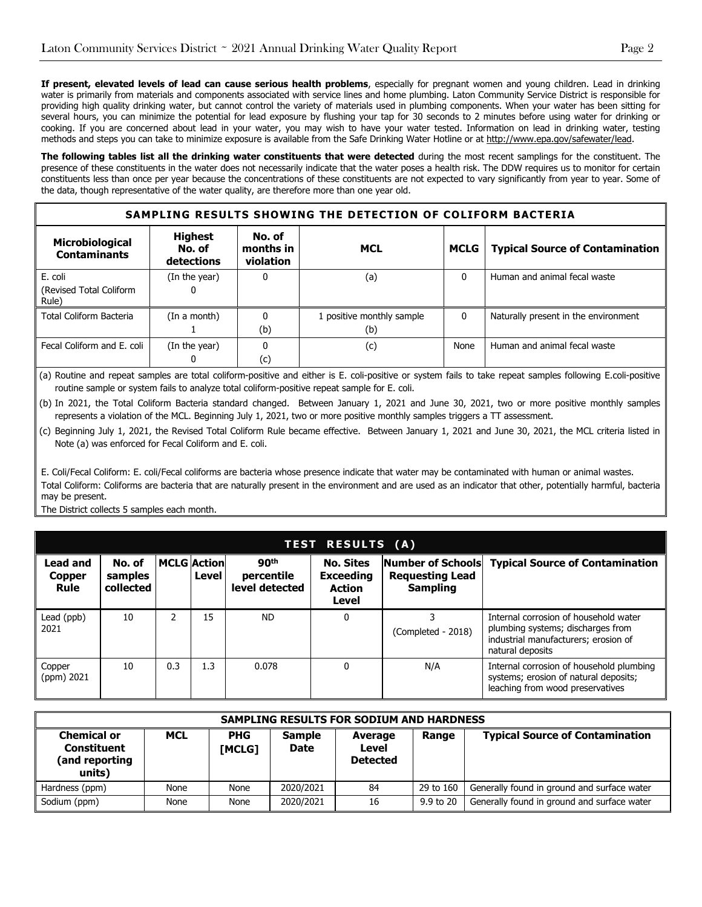**If present, elevated levels of lead can cause serious health problems**, especially for pregnant women and young children. Lead in drinking water is primarily from materials and components associated with service lines and home plumbing. Laton Community Service District is responsible for providing high quality drinking water, but cannot control the variety of materials used in plumbing components. When your water has been sitting for several hours, you can minimize the potential for lead exposure by flushing your tap for 30 seconds to 2 minutes before using water for drinking or cooking. If you are concerned about lead in your water, you may wish to have your water tested. Information on lead in drinking water, testing methods and steps you can take to minimize exposure is available from the Safe Drinking Water Hotline or a[t http://www.epa.gov/safewater/lead.](http://www.epa.gov/safewater/lead)

**The following tables list all the drinking water constituents that were detected** during the most recent samplings for the constituent. The presence of these constituents in the water does not necessarily indicate that the water poses a health risk. The DDW requires us to monitor for certain constituents less than once per year because the concentrations of these constituents are not expected to vary significantly from year to year. Some of the data, though representative of the water quality, are therefore more than one year old.

| SAMPLING RESULTS SHOWING THE DETECTION OF COLIFORM BACTERIA |                                        |                                  |                                  |             |                                        |  |  |  |
|-------------------------------------------------------------|----------------------------------------|----------------------------------|----------------------------------|-------------|----------------------------------------|--|--|--|
| Microbiological<br><b>Contaminants</b>                      | <b>Highest</b><br>No. of<br>detections | No. of<br>months in<br>violation | <b>MCL</b>                       | <b>MCLG</b> | <b>Typical Source of Contamination</b> |  |  |  |
| E. coli<br>(Revised Total Coliform<br>Rule)                 | (In the year)                          |                                  | (a)                              |             | Human and animal fecal waste           |  |  |  |
| Total Coliform Bacteria                                     | (In a month)                           | (b)                              | 1 positive monthly sample<br>(b) |             | Naturally present in the environment   |  |  |  |
| Fecal Coliform and E. coli                                  | (In the year)                          | (c)                              | (c)                              | None        | Human and animal fecal waste           |  |  |  |

(a) Routine and repeat samples are total coliform-positive and either is E. coli-positive or system fails to take repeat samples following E.coli-positive routine sample or system fails to analyze total coliform-positive repeat sample for E. coli.

(b) In 2021, the Total Coliform Bacteria standard changed. Between January 1, 2021 and June 30, 2021, two or more positive monthly samples represents a violation of the MCL. Beginning July 1, 2021, two or more positive monthly samples triggers a TT assessment.

(c) Beginning July 1, 2021, the Revised Total Coliform Rule became effective. Between January 1, 2021 and June 30, 2021, the MCL criteria listed in Note (a) was enforced for Fecal Coliform and E. coli.

E. Coli/Fecal Coliform: E. coli/Fecal coliforms are bacteria whose presence indicate that water may be contaminated with human or animal wastes. Total Coliform: Coliforms are bacteria that are naturally present in the environment and are used as an indicator that other, potentially harmful, bacteria may be present.

The District collects 5 samples each month.

| <b>TEST RESULTS (A)</b>                  |                                |     |                             |                                                  |                                                                |                                                                |                                                                                                                                        |  |  |  |
|------------------------------------------|--------------------------------|-----|-----------------------------|--------------------------------------------------|----------------------------------------------------------------|----------------------------------------------------------------|----------------------------------------------------------------------------------------------------------------------------------------|--|--|--|
| Lead and<br><b>Copper</b><br><b>Rule</b> | No. of<br>samples<br>collected |     | <b>MCLG Action</b><br>Level | 90 <sup>th</sup><br>percentile<br>level detected | <b>No. Sites</b><br><b>Exceeding</b><br><b>Action</b><br>Level | Number of Schools<br><b>Requesting Lead</b><br><b>Sampling</b> | <b>Typical Source of Contamination</b>                                                                                                 |  |  |  |
| Lead (ppb)<br>2021                       | 10                             | 2   | 15                          | <b>ND</b>                                        |                                                                | (Completed - 2018)                                             | Internal corrosion of household water<br>plumbing systems; discharges from<br>industrial manufacturers; erosion of<br>natural deposits |  |  |  |
| Copper<br>(ppm) 2021                     | 10                             | 0.3 | 1.3                         | 0.078                                            |                                                                | N/A                                                            | Internal corrosion of household plumbing<br>systems; erosion of natural deposits;<br>leaching from wood preservatives                  |  |  |  |

| SAMPLING RESULTS FOR SODIUM AND HARDNESS                             |            |                      |                       |                                     |           |                                             |  |  |  |
|----------------------------------------------------------------------|------------|----------------------|-----------------------|-------------------------------------|-----------|---------------------------------------------|--|--|--|
| <b>Chemical or</b><br><b>Constituent</b><br>(and reporting<br>units) | <b>MCL</b> | <b>PHG</b><br>[MCLG] | <b>Sample</b><br>Date | Average<br>Level<br><b>Detected</b> | Range     | <b>Typical Source of Contamination</b>      |  |  |  |
| Hardness (ppm)                                                       | None       | None                 | 2020/2021             | 84                                  | 29 to 160 | Generally found in ground and surface water |  |  |  |
| Sodium (ppm)                                                         | None       | None                 | 2020/2021             | 16                                  | 9.9 to 20 | Generally found in ground and surface water |  |  |  |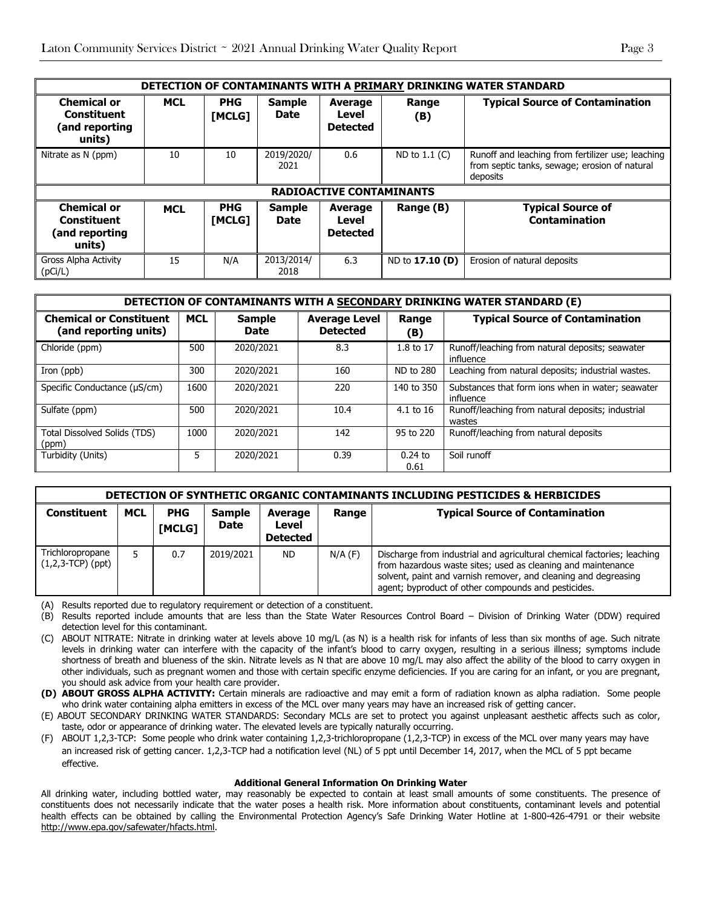| DETECTION OF CONTAMINANTS WITH A PRIMARY DRINKING WATER STANDARD |                                 |                             |                              |                                            |                 |                                                                                                                |  |  |  |
|------------------------------------------------------------------|---------------------------------|-----------------------------|------------------------------|--------------------------------------------|-----------------|----------------------------------------------------------------------------------------------------------------|--|--|--|
| <b>Chemical or</b><br>Constituent<br>(and reporting<br>units)    | <b>MCL</b>                      | <b>PHG</b><br><b>IMCLG1</b> | <b>Sample</b><br><b>Date</b> | Average<br>Level<br><b>Detected</b>        | Range<br>(B)    | <b>Typical Source of Contamination</b>                                                                         |  |  |  |
| Nitrate as N (ppm)                                               | 10                              | 10                          | 2019/2020/<br>2021           | 0.6                                        | ND to $1.1$ (C) | Runoff and leaching from fertilizer use; leaching<br>from septic tanks, sewage; erosion of natural<br>deposits |  |  |  |
|                                                                  | <b>RADIOACTIVE CONTAMINANTS</b> |                             |                              |                                            |                 |                                                                                                                |  |  |  |
| <b>Chemical or</b><br>Constituent<br>(and reporting<br>units)    | <b>MCL</b>                      | <b>PHG</b><br><b>IMCLG1</b> | <b>Sample</b><br><b>Date</b> | <b>Average</b><br>Level<br><b>Detected</b> | Range (B)       | <b>Typical Source of</b><br><b>Contamination</b>                                                               |  |  |  |
| Gross Alpha Activity<br>(pCi/L)                                  | 15                              | N/A                         | 2013/2014/<br>2018           | 6.3                                        | ND to 17.10 (D) | Erosion of natural deposits                                                                                    |  |  |  |

| <b>DETECTION OF CONTAMINANTS WITH A SECONDARY DRINKING WATER STANDARD (E)</b> |            |                              |                                         |                   |                                                                |  |  |  |
|-------------------------------------------------------------------------------|------------|------------------------------|-----------------------------------------|-------------------|----------------------------------------------------------------|--|--|--|
| <b>Chemical or Constituent</b><br>(and reporting units)                       | <b>MCL</b> | <b>Sample</b><br><b>Date</b> | <b>Average Level</b><br><b>Detected</b> | Range<br>(B)      | <b>Typical Source of Contamination</b>                         |  |  |  |
| Chloride (ppm)                                                                | 500        | 2020/2021                    | 8.3                                     | 1.8 to 17         | Runoff/leaching from natural deposits; seawater<br>influence   |  |  |  |
| Iron (ppb)                                                                    | 300        | 2020/2021                    | 160                                     | ND to 280         | Leaching from natural deposits; industrial wastes.             |  |  |  |
| Specific Conductance (µS/cm)                                                  | 1600       | 2020/2021                    | 220                                     | 140 to 350        | Substances that form ions when in water; seawater<br>influence |  |  |  |
| Sulfate (ppm)                                                                 | 500        | 2020/2021                    | 10.4                                    | $4.1$ to 16       | Runoff/leaching from natural deposits; industrial<br>wastes    |  |  |  |
| Total Dissolved Solids (TDS)<br>(ppm)                                         | 1000       | 2020/2021                    | 142                                     | 95 to 220         | Runoff/leaching from natural deposits                          |  |  |  |
| Turbidity (Units)                                                             | 5          | 2020/2021                    | 0.39                                    | $0.24$ to<br>0.61 | Soil runoff                                                    |  |  |  |

|                                         | DETECTION OF SYNTHETIC ORGANIC CONTAMINANTS INCLUDING PESTICIDES & HERBICIDES |                      |                              |                                     |             |                                                                                                                                                                                                                                                                   |  |  |  |  |
|-----------------------------------------|-------------------------------------------------------------------------------|----------------------|------------------------------|-------------------------------------|-------------|-------------------------------------------------------------------------------------------------------------------------------------------------------------------------------------------------------------------------------------------------------------------|--|--|--|--|
| <b>Constituent</b>                      | <b>MCL</b>                                                                    | <b>PHG</b><br>[MCLG] | <b>Sample</b><br><b>Date</b> | Average<br>Level<br><b>Detected</b> | Range       | <b>Typical Source of Contamination</b>                                                                                                                                                                                                                            |  |  |  |  |
| Trichloropropane<br>$(1,2,3-TCP)$ (ppt) |                                                                               | 0.7                  | 2019/2021                    | <b>ND</b>                           | $N/A$ $(F)$ | Discharge from industrial and agricultural chemical factories; leaching<br>from hazardous waste sites; used as cleaning and maintenance<br>solvent, paint and varnish remover, and cleaning and degreasing<br>agent; byproduct of other compounds and pesticides. |  |  |  |  |

(A) Results reported due to regulatory requirement or detection of a constituent.

- (B) Results reported include amounts that are less than the State Water Resources Control Board Division of Drinking Water (DDW) required detection level for this contaminant.
- (C) ABOUT NITRATE: Nitrate in drinking water at levels above 10 mg/L (as N) is a health risk for infants of less than six months of age. Such nitrate levels in drinking water can interfere with the capacity of the infant's blood to carry oxygen, resulting in a serious illness; symptoms include shortness of breath and blueness of the skin. Nitrate levels as N that are above 10 mg/L may also affect the ability of the blood to carry oxygen in other individuals, such as pregnant women and those with certain specific enzyme deficiencies. If you are caring for an infant, or you are pregnant, you should ask advice from your health care provider.

**(D) ABOUT GROSS ALPHA ACTIVITY:** Certain minerals are radioactive and may emit a form of radiation known as alpha radiation. Some people who drink water containing alpha emitters in excess of the MCL over many years may have an increased risk of getting cancer.

(E) ABOUT SECONDARY DRINKING WATER STANDARDS: Secondary MCLs are set to protect you against unpleasant aesthetic affects such as color, taste, odor or appearance of drinking water. The elevated levels are typically naturally occurring.

(F) ABOUT 1,2,3-TCP: Some people who drink water containing 1,2,3-trichloropropane (1,2,3-TCP) in excess of the MCL over many years may have an increased risk of getting cancer. 1,2,3-TCP had a notification level (NL) of 5 ppt until December 14, 2017, when the MCL of 5 ppt became effective.

## **Additional General Information On Drinking Water**

All drinking water, including bottled water, may reasonably be expected to contain at least small amounts of some constituents. The presence of constituents does not necessarily indicate that the water poses a health risk. More information about constituents, contaminant levels and potential health effects can be obtained by calling the Environmental Protection Agency's Safe Drinking Water Hotline at 1-800-426-4791 or their website [http://www.epa.gov/safewater/hfacts.html.](http://www.epa.gov/safewater/hfacts.html)